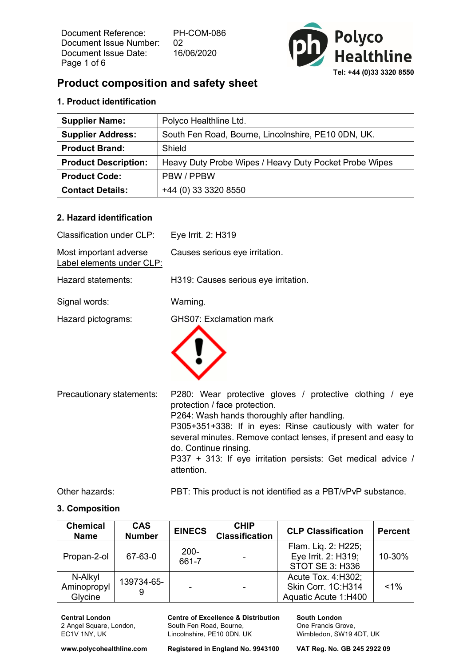Document Reference: PH-COM-086 Document Issue Number: 02 Document Issue Date: 16/06/2020 Page 1 of 6



# **Product composition and safety sheet**

## **1. Product identification**

| <b>Supplier Name:</b>       | Polyco Healthline Ltd.                                 |
|-----------------------------|--------------------------------------------------------|
| <b>Supplier Address:</b>    | South Fen Road, Bourne, Lincolnshire, PE10 0DN, UK.    |
| <b>Product Brand:</b>       | Shield                                                 |
| <b>Product Description:</b> | Heavy Duty Probe Wipes / Heavy Duty Pocket Probe Wipes |
| <b>Product Code:</b>        | PBW / PPBW                                             |
| <b>Contact Details:</b>     | +44 (0) 33 3320 8550                                   |

#### **2. Hazard identification**

| <b>Classification under CLP:</b>                    | Eye Irrit. 2: H319                                                                                                                                                                                                                                                                                                                                                             |
|-----------------------------------------------------|--------------------------------------------------------------------------------------------------------------------------------------------------------------------------------------------------------------------------------------------------------------------------------------------------------------------------------------------------------------------------------|
| Most important adverse<br>Label elements under CLP: | Causes serious eye irritation.                                                                                                                                                                                                                                                                                                                                                 |
| Hazard statements:                                  | H319: Causes serious eye irritation.                                                                                                                                                                                                                                                                                                                                           |
| Signal words:                                       | Warning.                                                                                                                                                                                                                                                                                                                                                                       |
| Hazard pictograms:                                  | <b>GHS07: Exclamation mark</b>                                                                                                                                                                                                                                                                                                                                                 |
| Precautionary statements:                           | P280: Wear protective gloves / protective clothing / eye<br>protection / face protection.<br>P264: Wash hands thoroughly after handling.<br>P305+351+338: If in eyes: Rinse cautiously with water for<br>several minutes. Remove contact lenses, if present and easy to<br>do. Continue rinsing.<br>P337 + 313: If eye irritation persists: Get medical advice /<br>attention. |

Other hazards: PBT: This product is not identified as a PBT/vPvP substance.

#### **3. Composition**

| <b>Chemical</b><br><b>Name</b>    | <b>CAS</b><br><b>Number</b> | <b>EINECS</b>    | <b>CHIP</b><br><b>Classification</b> | <b>CLP Classification</b>                                            | <b>Percent</b> |
|-----------------------------------|-----------------------------|------------------|--------------------------------------|----------------------------------------------------------------------|----------------|
| Propan-2-ol                       | 67-63-0                     | $200 -$<br>661-7 |                                      | Flam. Liq. 2: H225;<br>Eye Irrit. 2: H319;<br><b>STOT SE 3: H336</b> | 10-30%         |
| N-Alkyl<br>Aminopropyl<br>Glycine | 139734-65-                  |                  |                                      | Acute Tox. 4: H302;<br>Skin Corr. 1C:H314<br>Aquatic Acute 1:H400    | $< 1\%$        |

**Central London** 2 Angel Square, London, EC1V 1NY, UK

**Centre of Excellence & Distribution** South Fen Road, Bourne, Lincolnshire, PE10 0DN, UK

**South London** One Francis Grove, Wimbledon, SW19 4DT, UK

**www.polycohealthline.com Registered in England No. 9943100 VAT Reg. No. GB 245 2922 09**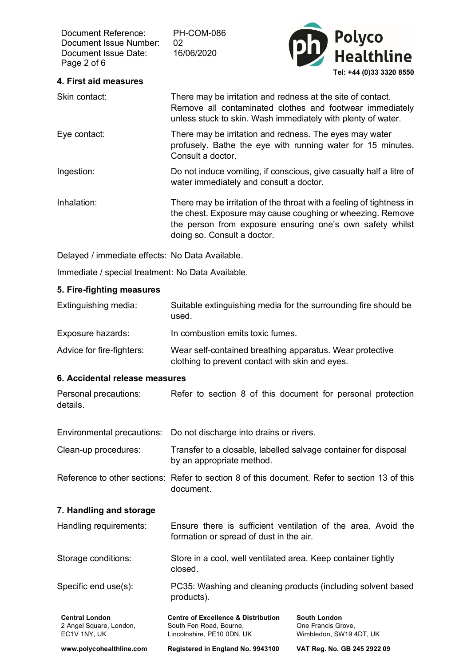Document Reference: PH-COM-086 Document Issue Number: 02 Document Issue Date: 16/06/2020 Page 2 of 6



### **4. First aid measures**

| Skin contact: | There may be irritation and redness at the site of contact.<br>Remove all contaminated clothes and footwear immediately<br>unless stuck to skin. Wash immediately with plenty of water.                                        |
|---------------|--------------------------------------------------------------------------------------------------------------------------------------------------------------------------------------------------------------------------------|
| Eye contact:  | There may be irritation and redness. The eyes may water<br>profusely. Bathe the eye with running water for 15 minutes.<br>Consult a doctor.                                                                                    |
| Ingestion:    | Do not induce vomiting, if conscious, give casualty half a litre of<br>water immediately and consult a doctor.                                                                                                                 |
| Inhalation:   | There may be irritation of the throat with a feeling of tightness in<br>the chest. Exposure may cause coughing or wheezing. Remove<br>the person from exposure ensuring one's own safety whilst<br>doing so. Consult a doctor. |

Delayed / immediate effects: No Data Available.

Immediate / special treatment: No Data Available.

#### **5. Fire-fighting measures**

| Extinguishing media:      | Suitable extinguishing media for the surrounding fire should be<br>used.                                    |
|---------------------------|-------------------------------------------------------------------------------------------------------------|
| Exposure hazards:         | In combustion emits toxic fumes.                                                                            |
| Advice for fire-fighters: | Wear self-contained breathing apparatus. Wear protective<br>clothing to prevent contact with skin and eyes. |

#### **6. Accidental release measures**

| Personal precautions: |  |  |  | Refer to section 8 of this document for personal protection |  |  |
|-----------------------|--|--|--|-------------------------------------------------------------|--|--|
| details.              |  |  |  |                                                             |  |  |

Environmental precautions: Do not discharge into drains or rivers.

Clean-up procedures: Transfer to a closable, labelled salvage container for disposal by an appropriate method.

Reference to other sections: Refer to section 8 of this document. Refer to section 13 of this document.

#### **7. Handling and storage**

| Handling requirements: |  |                                         | Ensure there is sufficient ventilation of the area. Avoid the |  |  |  |
|------------------------|--|-----------------------------------------|---------------------------------------------------------------|--|--|--|
|                        |  | formation or spread of dust in the air. |                                                               |  |  |  |

| Storage conditions: | Store in a cool, well ventilated area. Keep container tightly |
|---------------------|---------------------------------------------------------------|
|                     | closed.                                                       |

Specific end use(s): PC35: Washing and cleaning products (including solvent based products).

| <b>Central London</b>    | <b>Centre of Excellence &amp; Distribution</b> | <b>South London</b>         |
|--------------------------|------------------------------------------------|-----------------------------|
| 2 Angel Square, London,  | South Fen Road, Bourne.                        | One Francis Grove.          |
| EC1V 1NY. UK             | Lincolnshire, PE10 0DN, UK                     | Wimbledon, SW19 4DT, UK     |
| www.polycohealthline.com | Registered in England No. 9943100              | VAT Reg. No. GB 245 2922 09 |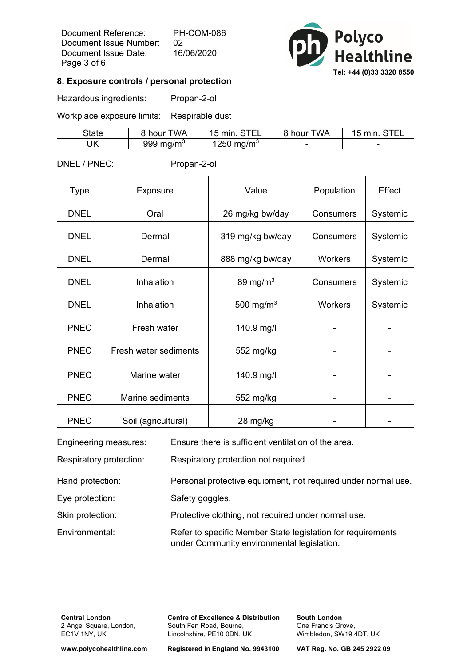Document Reference: PH-COM-086 Document Issue Number: 02 Document Issue Date: 16/06/2020 Page 3 of 6



#### **8. Exposure controls / personal protection**

Hazardous ingredients: Propan-2-ol

Workplace exposure limits: Respirable dust

| State | <b>TWA</b><br>hour    | . <del>.</del> .<br>min | <b>TWA</b><br>, hour | min    |
|-------|-----------------------|-------------------------|----------------------|--------|
| IJΚ   | 999 mg/m <sup>3</sup> | $1250 \;$ mg/m $^3$     |                      | $\sim$ |

DNEL / PNEC: Propan-2-ol

| <b>Type</b> | Exposure              | Value                 | Population       | Effect   |
|-------------|-----------------------|-----------------------|------------------|----------|
| <b>DNEL</b> | Oral                  | 26 mg/kg bw/day       | Consumers        | Systemic |
| <b>DNEL</b> | Dermal                | 319 mg/kg bw/day      | Consumers        | Systemic |
| <b>DNEL</b> | Dermal                | 888 mg/kg bw/day      | <b>Workers</b>   | Systemic |
| <b>DNEL</b> | Inhalation            | 89 mg/m $3$           | <b>Consumers</b> | Systemic |
| <b>DNEL</b> | Inhalation            | 500 mg/m <sup>3</sup> | <b>Workers</b>   | Systemic |
| <b>PNEC</b> | Fresh water           | 140.9 mg/l            |                  |          |
| <b>PNEC</b> | Fresh water sediments | 552 mg/kg             |                  |          |
| <b>PNEC</b> | Marine water          | 140.9 mg/l            |                  |          |
| <b>PNEC</b> | Marine sediments      | 552 mg/kg             |                  |          |
| <b>PNEC</b> | Soil (agricultural)   | 28 mg/kg              |                  |          |

| Engineering measures:   | Ensure there is sufficient ventilation of the area.                                                       |
|-------------------------|-----------------------------------------------------------------------------------------------------------|
| Respiratory protection: | Respiratory protection not required.                                                                      |
| Hand protection:        | Personal protective equipment, not required under normal use.                                             |
| Eye protection:         | Safety goggles.                                                                                           |
| Skin protection:        | Protective clothing, not required under normal use.                                                       |
| Environmental:          | Refer to specific Member State legislation for requirements<br>under Community environmental legislation. |

**Central London** 2 Angel Square, London, EC1V 1NY, UK

**Centre of Excellence & Distribution** South Fen Road, Bourne, Lincolnshire, PE10 0DN, UK

**South London** One Francis Grove, Wimbledon, SW19 4DT, UK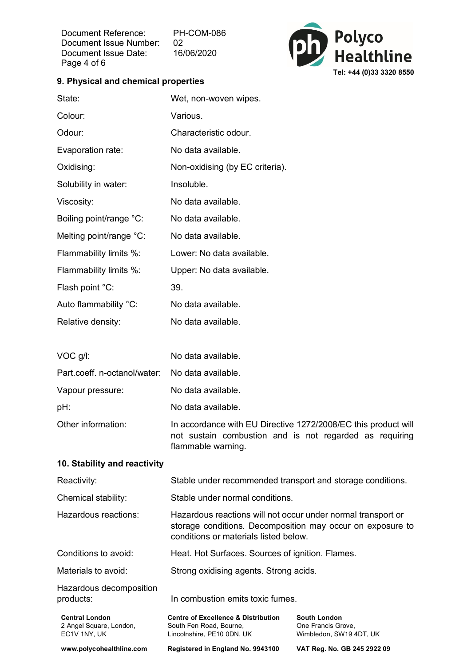Document Reference: PH-COM-086 Document Issue Number: 02 Document Issue Date: 16/06/2020 Page 4 of 6



#### **9. Physical and chemical properties**

| State:                                           | Wet, non-woven wipes.                                                                                                                                               |                                           |
|--------------------------------------------------|---------------------------------------------------------------------------------------------------------------------------------------------------------------------|-------------------------------------------|
| Colour:                                          | Various.                                                                                                                                                            |                                           |
| Odour:                                           | Characteristic odour.                                                                                                                                               |                                           |
| Evaporation rate:                                | No data available.                                                                                                                                                  |                                           |
| Oxidising:                                       | Non-oxidising (by EC criteria).                                                                                                                                     |                                           |
| Solubility in water:                             | Insoluble.                                                                                                                                                          |                                           |
| Viscosity:                                       | No data available.                                                                                                                                                  |                                           |
| Boiling point/range °C:                          | No data available.                                                                                                                                                  |                                           |
| Melting point/range °C:                          | No data available.                                                                                                                                                  |                                           |
| Flammability limits %:                           | Lower: No data available.                                                                                                                                           |                                           |
| Flammability limits %:                           | Upper: No data available.                                                                                                                                           |                                           |
| Flash point °C:                                  | 39.                                                                                                                                                                 |                                           |
| Auto flammability °C:                            | No data available.                                                                                                                                                  |                                           |
| Relative density:                                | No data available.                                                                                                                                                  |                                           |
|                                                  |                                                                                                                                                                     |                                           |
| VOC g/l:                                         | No data available.                                                                                                                                                  |                                           |
| Part.coeff. n-octanol/water:                     | No data available.                                                                                                                                                  |                                           |
| Vapour pressure:                                 | No data available.                                                                                                                                                  |                                           |
| pH:                                              | No data available.                                                                                                                                                  |                                           |
| Other information:                               | In accordance with EU Directive 1272/2008/EC this product will<br>not sustain combustion and is not regarded as requiring<br>flammable warning.                     |                                           |
| 10. Stability and reactivity                     |                                                                                                                                                                     |                                           |
| Reactivity:                                      | Stable under recommended transport and storage conditions.                                                                                                          |                                           |
| Chemical stability:                              | Stable under normal conditions.                                                                                                                                     |                                           |
| Hazardous reactions:                             | Hazardous reactions will not occur under normal transport or<br>storage conditions. Decomposition may occur on exposure to<br>conditions or materials listed below. |                                           |
| Conditions to avoid:                             | Heat. Hot Surfaces. Sources of ignition. Flames.                                                                                                                    |                                           |
| Materials to avoid:                              | Strong oxidising agents. Strong acids.                                                                                                                              |                                           |
| Hazardous decomposition<br>products:             | In combustion emits toxic fumes.                                                                                                                                    |                                           |
| <b>Central London</b><br>2 Angel Square, London, | <b>Centre of Excellence &amp; Distribution</b><br>South Fen Road, Bourne,                                                                                           | <b>South London</b><br>One Francis Grove, |

EC1V 1NY, UK

**www.polycohealthline.com Registered in England No. 9943100 VAT Reg. No. GB 245 2922 09**

Wimbledon, SW19 4DT, UK

Lincolnshire, PE10 0DN, UK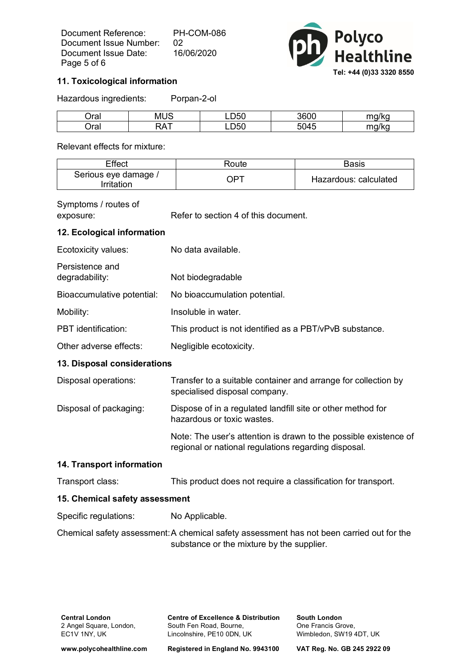Document Reference: PH-COM-086 Document Issue Number: 02 Document Issue Date: 16/06/2020 Page 5 of 6



#### **11. Toxicological information**

Hazardous ingredients: Porpan-2-ol

| ١ro<br>ıa,        | . .<br>M     | ---<br>יטנ  | 3600 | $ma$ allea     |
|-------------------|--------------|-------------|------|----------------|
| ١ro<br>71 di<br>ັ | $\mathbf{v}$ | 7-0<br>LD50 |      | سراا<br>$\sim$ |

Relevant effects for mixture:

| Effect                                    | Route | Basis                 |
|-------------------------------------------|-------|-----------------------|
| Serious eye damage /<br><i>Irritation</i> | OPT   | Hazardous: calculated |

# Symptoms / routes of

exposure: Refer to section 4 of this document.

### **12. Ecological information**

| Ecotoxicity values:               | No data available.                                             |  |
|-----------------------------------|----------------------------------------------------------------|--|
| Persistence and<br>degradability: | Not biodegradable                                              |  |
| Bioaccumulative potential:        | No bioaccumulation potential.                                  |  |
| Mobility:                         | Insoluble in water.                                            |  |
| <b>PBT</b> identification:        | This product is not identified as a PBT/vPvB substance.        |  |
| Other adverse effects:            | Negligible ecotoxicity.                                        |  |
| 13. Disposal considerations       |                                                                |  |
| Disposal operations:              | Transfer to a suitable container and arrange for collection by |  |

|                        | specialised disposal company.                                |  |
|------------------------|--------------------------------------------------------------|--|
| Disposal of packaging: | Dispose of in a requisited landfill site or other method for |  |

Disposal of packaging: Dispose of in a regulated landfill site or other method for hazardous or toxic wastes.

> Note: The user's attention is drawn to the possible existence of regional or national regulations regarding disposal.

#### **14. Transport information**

Transport class: This product does not require a classification for transport.

#### **15. Chemical safety assessment**

Specific regulations: No Applicable.

Chemical safety assessment:A chemical safety assessment has not been carried out for the substance or the mixture by the supplier.

**Centre of Excellence & Distribution** South Fen Road, Bourne, Lincolnshire, PE10 0DN, UK

**South London** One Francis Grove, Wimbledon, SW19 4DT, UK

**www.polycohealthline.com Registered in England No. 9943100 VAT Reg. No. GB 245 2922 09**